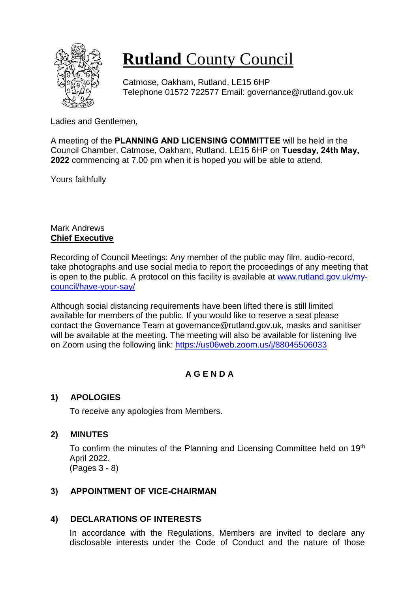

# **Rutland** County Council

Catmose, Oakham, Rutland, LE15 6HP Telephone 01572 722577 Email: governance@rutland.gov.uk

Ladies and Gentlemen,

A meeting of the **PLANNING AND LICENSING COMMITTEE** will be held in the Council Chamber, Catmose, Oakham, Rutland, LE15 6HP on **Tuesday, 24th May, 2022** commencing at 7.00 pm when it is hoped you will be able to attend.

Yours faithfully

### Mark Andrews **Chief Executive**

Recording of Council Meetings: Any member of the public may film, audio-record, take photographs and use social media to report the proceedings of any meeting that is open to the public. A protocol on this facility is available at [www.rutland.gov.uk/my](http://www.rutland.gov.uk/my-council/have-your-say/)[council/have-your-say/](http://www.rutland.gov.uk/my-council/have-your-say/)

Although social distancing requirements have been lifted there is still limited available for members of the public. If you would like to reserve a seat please contact the Governance Team at governance@rutland.gov.uk, masks and sanitiser will be available at the meeting. The meeting will also be available for listening live on Zoom using the following link: <https://us06web.zoom.us/j/88045506033>

## **A G E N D A**

## **1) APOLOGIES**

To receive any apologies from Members.

## **2) MINUTES**

To confirm the minutes of the Planning and Licensing Committee held on 19<sup>th</sup> April 2022. (Pages 3 - 8)

## **3) APPOINTMENT OF VICE-CHAIRMAN**

## **4) DECLARATIONS OF INTERESTS**

In accordance with the Regulations, Members are invited to declare any disclosable interests under the Code of Conduct and the nature of those